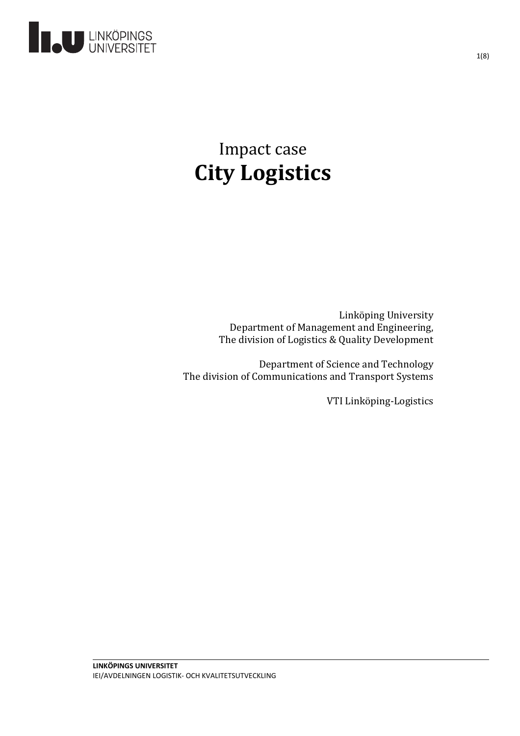

# Impact case **City Logistics**

Linköping University Department of Management and Engineering, The division of Logistics & Quality Development

Department of Science and Technology The division of Communications and Transport Systems

VTI Linköping-Logistics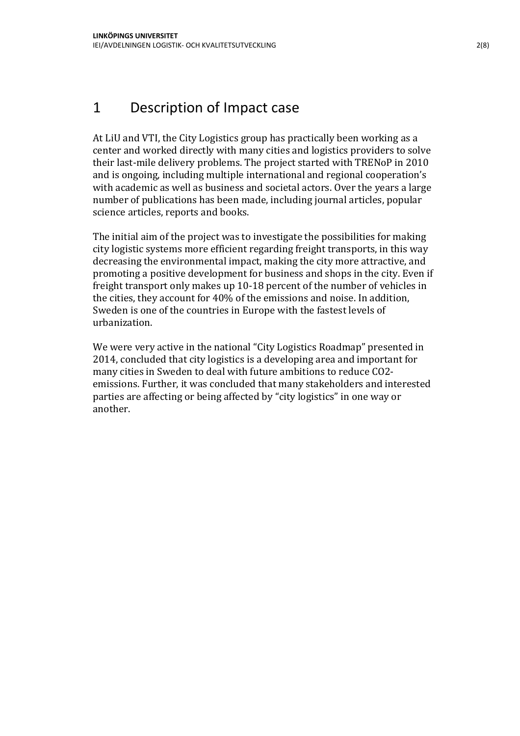#### 1 Description of Impact case

At LiU and VTI, the City Logistics group has practically been working as a center and worked directly with many cities and logistics providers to solve their last-mile delivery problems. The project started with TRENoP in 2010 and is ongoing, including multiple international and regional cooperation's with academic as well as business and societal actors. Over the years a large number of publications has been made, including journal articles, popular science articles, reports and books.

The initial aim of the project was to investigate the possibilities for making city logistic systems more efficient regarding freight transports, in this way decreasing the environmental impact, making the city more attractive, and promoting a positive development for business and shops in the city. Even if freight transport only makes up 10-18 percent of the number of vehicles in the cities, they account for 40% of the emissions and noise. In addition, Sweden is one of the countries in Europe with the fastest levels of urbanization.

We were very active in the national "City Logistics Roadmap" presented in 2014, concluded that city logistics is a developing area and important for many cities in Sweden to deal with future ambitions to reduce CO2 emissions. Further, it was concluded that many stakeholders and interested parties are affecting or being affected by "city logistics" in one way or another.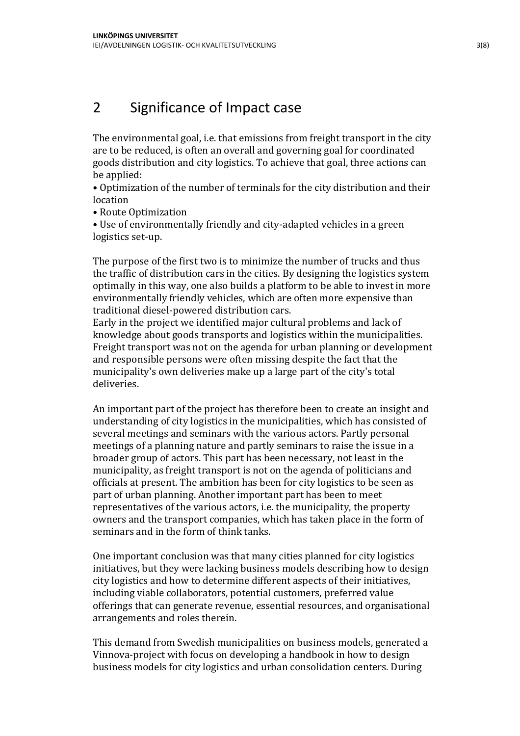#### 2 Significance of Impact case

The environmental goal, i.e. that emissions from freight transport in the city are to be reduced, is often an overall and governing goal for coordinated goods distribution and city logistics. To achieve that goal, three actions can be applied:

• Optimization of the number of terminals for the city distribution and their location

• Route Optimization

• Use of environmentally friendly and city-adapted vehicles in a green logistics set-up.

The purpose of the first two is to minimize the number of trucks and thus the traffic of distribution cars in the cities. By designing the logistics system optimally in this way, one also builds a platform to be able to invest in more environmentally friendly vehicles, which are often more expensive than traditional diesel-powered distribution cars.

Early in the project we identified major cultural problems and lack of knowledge about goods transports and logistics within the municipalities. Freight transport was not on the agenda for urban planning or development and responsible persons were often missing despite the fact that the municipality's own deliveries make up a large part of the city's total deliveries.

An important part of the project has therefore been to create an insight and understanding of city logistics in the municipalities, which has consisted of several meetings and seminars with the various actors. Partly personal meetings of a planning nature and partly seminars to raise the issue in a broader group of actors. This part has been necessary, not least in the municipality, as freight transport is not on the agenda of politicians and officials at present. The ambition has been for city logistics to be seen as part of urban planning. Another important part has been to meet representatives of the various actors, i.e. the municipality, the property owners and the transport companies, which has taken place in the form of seminars and in the form of think tanks.

One important conclusion was that many cities planned for city logistics initiatives, but they were lacking business models describing how to design city logistics and how to determine different aspects of their initiatives, including viable collaborators, potential customers, preferred value offerings that can generate revenue, essential resources, and organisational arrangements and roles therein.

This demand from Swedish municipalities on business models, generated a Vinnova-project with focus on developing a handbook in how to design business models for city logistics and urban consolidation centers. During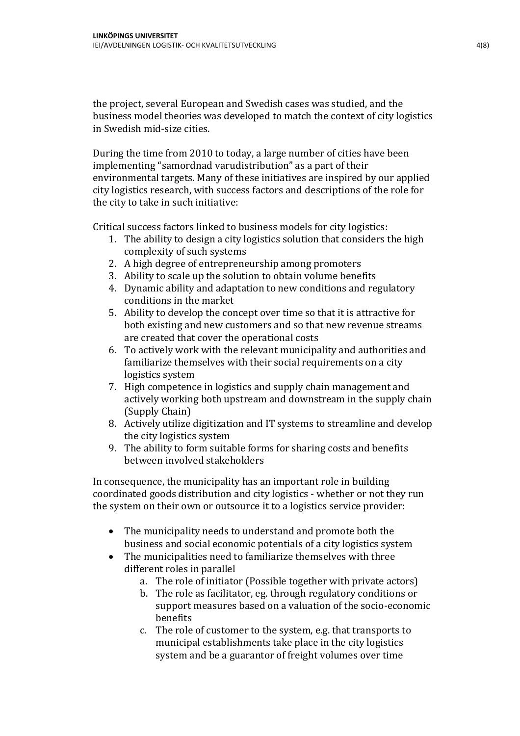the project, several European and Swedish cases was studied, and the business model theories was developed to match the context of city logistics in Swedish mid-size cities.

During the time from 2010 to today, a large number of cities have been implementing "samordnad varudistribution" as a part of their environmental targets. Many of these initiatives are inspired by our applied city logistics research, with success factors and descriptions of the role for the city to take in such initiative:

Critical success factors linked to business models for city logistics:

- 1. The ability to design a city logistics solution that considers the high complexity of such systems
- 2. A high degree of entrepreneurship among promoters
- 3. Ability to scale up the solution to obtain volume benefits
- 4. Dynamic ability and adaptation to new conditions and regulatory conditions in the market
- 5. Ability to develop the concept over time so that it is attractive for both existing and new customers and so that new revenue streams are created that cover the operational costs
- 6. To actively work with the relevant municipality and authorities and familiarize themselves with their social requirements on a city logistics system
- 7. High competence in logistics and supply chain management and actively working both upstream and downstream in the supply chain (Supply Chain)
- 8. Actively utilize digitization and IT systems to streamline and develop the city logistics system
- 9. The ability to form suitable forms for sharing costs and benefits between involved stakeholders

In consequence, the municipality has an important role in building coordinated goods distribution and city logistics - whether or not they run the system on their own or outsource it to a logistics service provider:

- The municipality needs to understand and promote both the business and social economic potentials of a city logistics system
- The municipalities need to familiarize themselves with three different roles in parallel
	- a. The role of initiator (Possible together with private actors)
	- b. The role as facilitator, eg. through regulatory conditions or support measures based on a valuation of the socio-economic benefits
	- c. The role of customer to the system, e.g. that transports to municipal establishments take place in the city logistics system and be a guarantor of freight volumes over time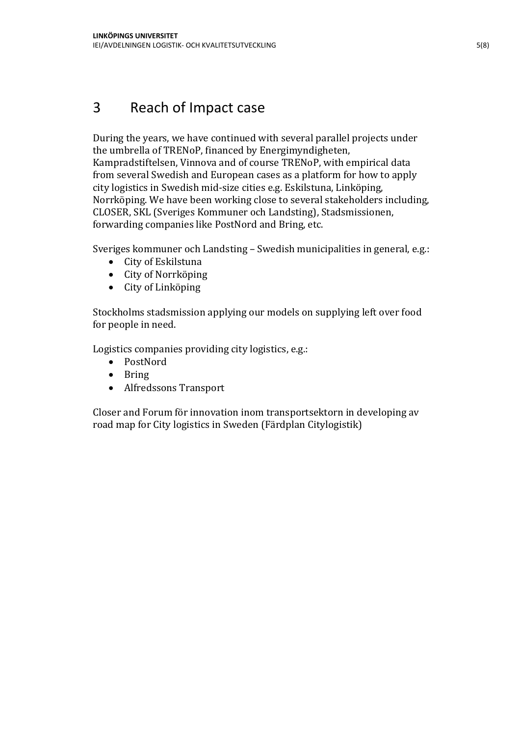## 3 Reach of Impact case

During the years, we have continued with several parallel projects under the umbrella of TRENoP, financed by Energimyndigheten, Kampradstiftelsen, Vinnova and of course TRENoP, with empirical data from several Swedish and European cases as a platform for how to apply city logistics in Swedish mid-size cities e.g. Eskilstuna, Linköping, Norrköping. We have been working close to several stakeholders including, CLOSER, SKL (Sveriges Kommuner och Landsting), Stadsmissionen, forwarding companies like PostNord and Bring, etc.

Sveriges kommuner och Landsting – Swedish municipalities in general, e.g.:

- City of Eskilstuna
- City of Norrköping
- City of Linköping

Stockholms stadsmission applying our models on supplying left over food for people in need.

Logistics companies providing city logistics, e.g.:

- PostNord
- Bring
- Alfredssons Transport

Closer and Forum för innovation inom transportsektorn in developing av road map for City logistics in Sweden (Färdplan Citylogistik)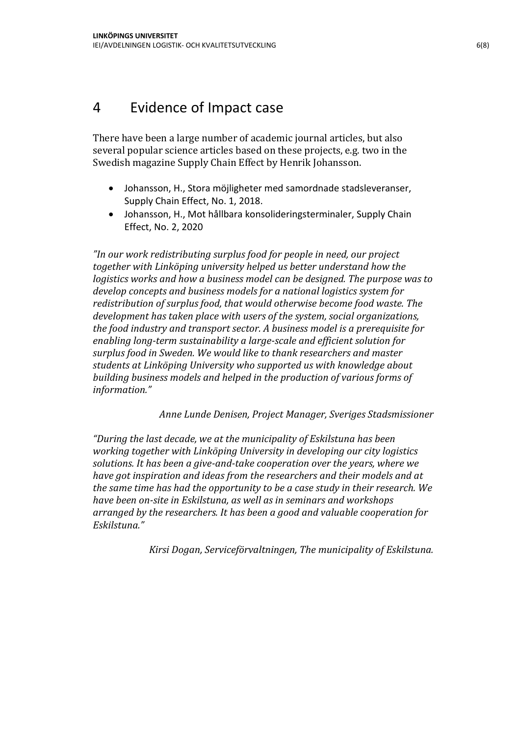## 4 Evidence of Impact case

There have been a large number of academic journal articles, but also several popular science articles based on these projects, e.g. two in the Swedish magazine Supply Chain Effect by Henrik Johansson.

- Johansson, H., Stora möjligheter med samordnade stadsleveranser, Supply Chain Effect, No. 1, 2018.
- Johansson, H., Mot hållbara konsolideringsterminaler, Supply Chain Effect, No. 2, 2020

*"In our work redistributing surplus food for people in need, our project together with Linköping university helped us better understand how the logistics works and how a business model can be designed. The purpose was to develop concepts and business models for a national logistics system for redistribution of surplus food, that would otherwise become food waste. The development has taken place with users of the system, social organizations, the food industry and transport sector. A business model is a prerequisite for enabling long-term sustainability a large-scale and efficient solution for surplus food in Sweden. We would like to thank researchers and master students at Linköping University who supported us with knowledge about building business models and helped in the production of various forms of information."*

*Anne Lunde Denisen, Project Manager, Sveriges Stadsmissioner*

*"During the last decade, we at the municipality of Eskilstuna has been working together with Linköping University in developing our city logistics solutions. It has been a give-and-take cooperation over the years, where we have got inspiration and ideas from the researchers and their models and at the same time has had the opportunity to be a case study in their research. We have been on-site in Eskilstuna, as well as in seminars and workshops arranged by the researchers. It has been a good and valuable cooperation for Eskilstuna."*

*Kirsi Dogan, Serviceförvaltningen, The municipality of Eskilstuna.*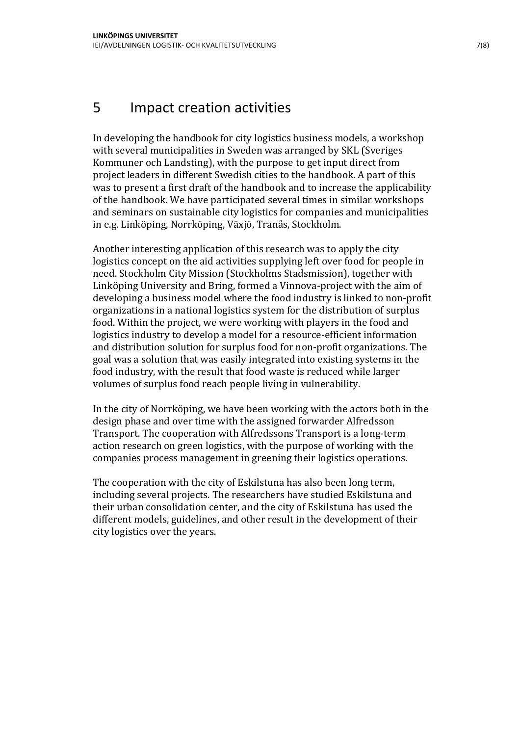#### 5 Impact creation activities

In developing the handbook for city logistics business models, a workshop with several municipalities in Sweden was arranged by SKL (Sveriges Kommuner och Landsting), with the purpose to get input direct from project leaders in different Swedish cities to the handbook. A part of this was to present a first draft of the handbook and to increase the applicability of the handbook. We have participated several times in similar workshops and seminars on sustainable city logistics for companies and municipalities in e.g. Linköping, Norrköping, Växjö, Tranås, Stockholm.

Another interesting application of this research was to apply the city logistics concept on the aid activities supplying left over food for people in need. Stockholm City Mission (Stockholms Stadsmission), together with Linköping University and Bring, formed a Vinnova-project with the aim of developing a business model where the food industry is linked to non-profit organizations in a national logistics system for the distribution of surplus food. Within the project, we were working with players in the food and logistics industry to develop a model for a resource-efficient information and distribution solution for surplus food for non-profit organizations. The goal was a solution that was easily integrated into existing systems in the food industry, with the result that food waste is reduced while larger volumes of surplus food reach people living in vulnerability.

In the city of Norrköping, we have been working with the actors both in the design phase and over time with the assigned forwarder Alfredsson Transport. The cooperation with Alfredssons Transport is a long-term action research on green logistics, with the purpose of working with the companies process management in greening their logistics operations.

The cooperation with the city of Eskilstuna has also been long term, including several projects. The researchers have studied Eskilstuna and their urban consolidation center, and the city of Eskilstuna has used the different models, guidelines, and other result in the development of their city logistics over the years.